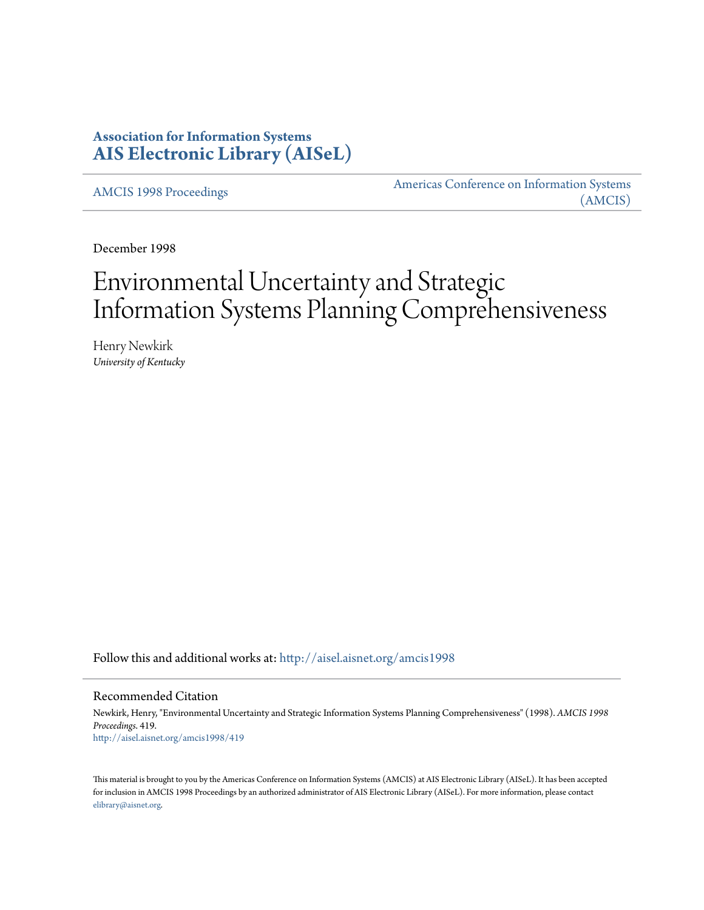# **Association for Information Systems [AIS Electronic Library \(AISeL\)](http://aisel.aisnet.org?utm_source=aisel.aisnet.org%2Famcis1998%2F419&utm_medium=PDF&utm_campaign=PDFCoverPages)**

[AMCIS 1998 Proceedings](http://aisel.aisnet.org/amcis1998?utm_source=aisel.aisnet.org%2Famcis1998%2F419&utm_medium=PDF&utm_campaign=PDFCoverPages)

[Americas Conference on Information Systems](http://aisel.aisnet.org/amcis?utm_source=aisel.aisnet.org%2Famcis1998%2F419&utm_medium=PDF&utm_campaign=PDFCoverPages) [\(AMCIS\)](http://aisel.aisnet.org/amcis?utm_source=aisel.aisnet.org%2Famcis1998%2F419&utm_medium=PDF&utm_campaign=PDFCoverPages)

December 1998

# Environmental Uncertainty and Strategic Information Systems Planning Comprehensiveness

Henry Newkirk *University of Kentucky*

Follow this and additional works at: [http://aisel.aisnet.org/amcis1998](http://aisel.aisnet.org/amcis1998?utm_source=aisel.aisnet.org%2Famcis1998%2F419&utm_medium=PDF&utm_campaign=PDFCoverPages)

## Recommended Citation

Newkirk, Henry, "Environmental Uncertainty and Strategic Information Systems Planning Comprehensiveness" (1998). *AMCIS 1998 Proceedings*. 419. [http://aisel.aisnet.org/amcis1998/419](http://aisel.aisnet.org/amcis1998/419?utm_source=aisel.aisnet.org%2Famcis1998%2F419&utm_medium=PDF&utm_campaign=PDFCoverPages)

This material is brought to you by the Americas Conference on Information Systems (AMCIS) at AIS Electronic Library (AISeL). It has been accepted for inclusion in AMCIS 1998 Proceedings by an authorized administrator of AIS Electronic Library (AISeL). For more information, please contact [elibrary@aisnet.org.](mailto:elibrary@aisnet.org%3E)